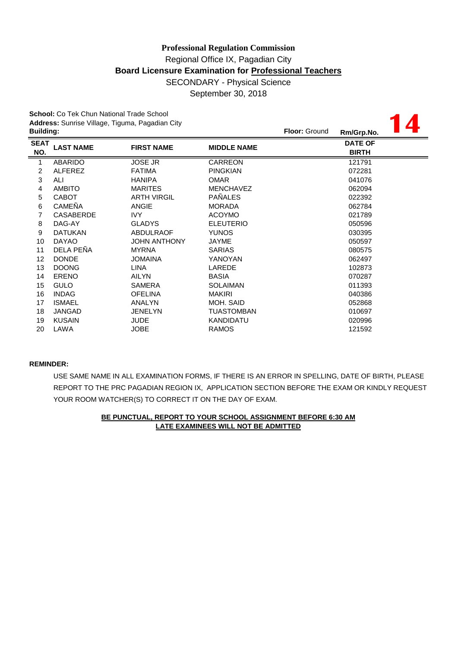# **Professional Regulation Commission** Regional Office IX, Pagadian City **Board Licensure Examination for Professional Teachers** SECONDARY - Physical Science September 30, 2018

**School:** Co Tek Chun National Trade School **Address:** Sunrise Village, Tiguma, Pagadian City

| Address: Sunrise Village, Tiguma, Pagadian City |                  |                     |                      |            |                                |  |  |  |  |
|-------------------------------------------------|------------------|---------------------|----------------------|------------|--------------------------------|--|--|--|--|
| <b>Building:</b>                                |                  |                     | <b>Floor: Ground</b> | Rm/Grp.No. |                                |  |  |  |  |
| <b>SEAT</b><br>NO.                              | <b>LAST NAME</b> | <b>FIRST NAME</b>   | <b>MIDDLE NAME</b>   |            | <b>DATE OF</b><br><b>BIRTH</b> |  |  |  |  |
| 1                                               | <b>ABARIDO</b>   | <b>JOSE JR</b>      | <b>CARREON</b>       |            | 121791                         |  |  |  |  |
| 2                                               | <b>ALFEREZ</b>   | <b>FATIMA</b>       | <b>PINGKIAN</b>      |            | 072281                         |  |  |  |  |
| 3                                               | ALI              | <b>HANIPA</b>       | <b>OMAR</b>          |            | 041076                         |  |  |  |  |
| 4                                               | <b>AMBITO</b>    | <b>MARITES</b>      | <b>MENCHAVEZ</b>     |            | 062094                         |  |  |  |  |
| 5                                               | <b>CABOT</b>     | <b>ARTH VIRGIL</b>  | <b>PAÑALES</b>       |            | 022392                         |  |  |  |  |
| 6                                               | <b>CAMEÑA</b>    | <b>ANGIE</b>        | <b>MORADA</b>        |            | 062784                         |  |  |  |  |
| $\overline{7}$                                  | <b>CASABERDE</b> | IVY                 | <b>ACOYMO</b>        |            | 021789                         |  |  |  |  |
| 8                                               | DAG-AY           | <b>GLADYS</b>       | <b>ELEUTERIO</b>     |            | 050596                         |  |  |  |  |
| 9                                               | <b>DATUKAN</b>   | <b>ABDULRAOF</b>    | <b>YUNOS</b>         |            | 030395                         |  |  |  |  |
| 10                                              | <b>DAYAO</b>     | <b>JOHN ANTHONY</b> | JAYME                |            | 050597                         |  |  |  |  |
| 11                                              | DELA PEÑA        | <b>MYRNA</b>        | <b>SARIAS</b>        |            | 080575                         |  |  |  |  |
| 12                                              | <b>DONDE</b>     | <b>JOMAINA</b>      | YANOYAN              |            | 062497                         |  |  |  |  |
| 13                                              | <b>DOONG</b>     | <b>LINA</b>         | LAREDE               |            | 102873                         |  |  |  |  |
| 14                                              | <b>ERENO</b>     | <b>AILYN</b>        | <b>BASIA</b>         |            | 070287                         |  |  |  |  |
| 15                                              | <b>GULO</b>      | <b>SAMERA</b>       | <b>SOLAIMAN</b>      |            | 011393                         |  |  |  |  |
| 16                                              | <b>INDAG</b>     | <b>OFELINA</b>      | <b>MAKIRI</b>        |            | 040386                         |  |  |  |  |
| 17                                              | <b>ISMAEL</b>    | ANALYN              | MOH. SAID            |            | 052868                         |  |  |  |  |
| 18                                              | JANGAD           | <b>JENELYN</b>      | <b>TUASTOMBAN</b>    |            | 010697                         |  |  |  |  |
| 19                                              | <b>KUSAIN</b>    | <b>JUDE</b>         | <b>KANDIDATU</b>     |            | 020996                         |  |  |  |  |
| 20                                              | LAWA             | <b>JOBE</b>         | <b>RAMOS</b>         |            | 121592                         |  |  |  |  |

#### **REMINDER:**

USE SAME NAME IN ALL EXAMINATION FORMS, IF THERE IS AN ERROR IN SPELLING, DATE OF BIRTH, PLEASE REPORT TO THE PRC PAGADIAN REGION IX, APPLICATION SECTION BEFORE THE EXAM OR KINDLY REQUEST YOUR ROOM WATCHER(S) TO CORRECT IT ON THE DAY OF EXAM.

## **BE PUNCTUAL, REPORT TO YOUR SCHOOL ASSIGNMENT BEFORE 6:30 AM LATE EXAMINEES WILL NOT BE ADMITTED**